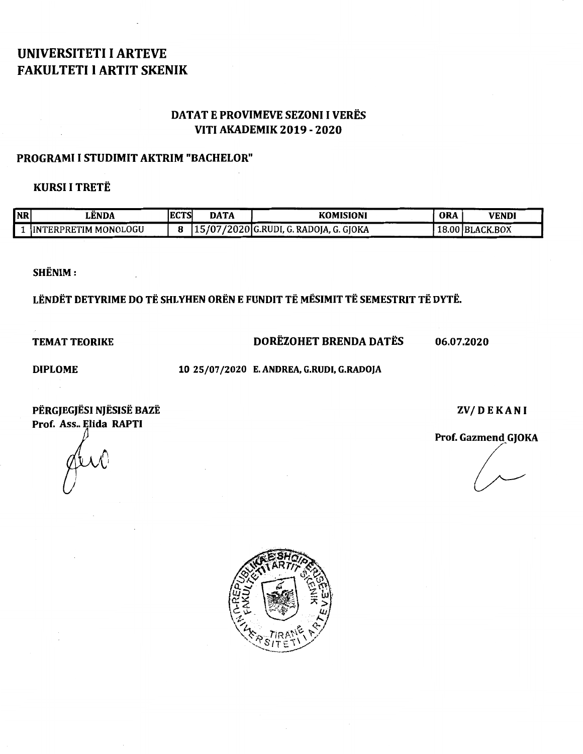# UNIVERSITETI I ARTEVE FAKULTETI I ARTIT SKENIK

## DATAT E PROVIMEVE SEZONI I VERES VITI AKADEMIK 2019 - 2020

### PROGRAMI I STUDIMIT AKTRIM "BACHELOR"

## KURSI I TRETE

| <b>NR</b> | LENDA                       | <b>IECTS</b> | <b>DATA</b> | <b>KOMISIONI</b>                         | <b>ORA</b> | VENDI           |
|-----------|-----------------------------|--------------|-------------|------------------------------------------|------------|-----------------|
|           | <b>INTERPRETIM MONOLOGU</b> |              |             | [15/07/2020] G.RUDI, G. RADOJA, G. GJOKA |            | 18.00 BLACK.BOX |

SHENIM:

LËNDËT DETYRIME DO TË SHLYHEN ORËN E FUNDIT TË MËSIMIT TË SEMESTRIT TË DYTË.

TEMAT TEORIKE DORËZOHET BRENDA DATËS 06.07.2020

 $\mathcal{L}_{\mathcal{A}}$ 

DIPLOME 10 25/07/2020 E. ANDREA, G.RUDI, G.RADOJA

PËRGJEGJËSI NJËSISË BAZË ZVALET DE KA NJESIS DA ZVALET DE KA NJE ZVALET DE KA NJE ZVALET DE KA NJE ZVALET DE KA NJ Prof. Ass.. Elida RAPTI<br>Prof. Gazmend GJOKA

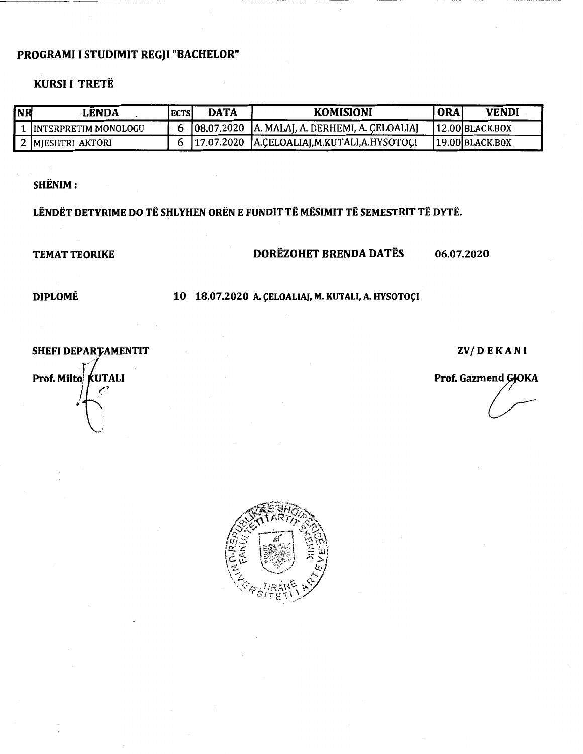## PROGRAMI I STUDIMIT REGJI "BACHELOR"

## **KURSI I TRETË**

----- ---~----~-

| <b>NR</b> | LÊNDA                 | <b>ECTS</b> | <b>DATA</b> | <b>KOMISIONI</b>                                  | ORA | <b>VENDI</b>      |
|-----------|-----------------------|-------------|-------------|---------------------------------------------------|-----|-------------------|
|           | IINTERPRETIM MONOLOGU |             |             | $[08.07.2020]$ A. MALAJ, A. DERHEMI, A. CELOALIAJ |     | $12.00$ BLACK.BOX |
|           | ? IMIESHTRI AKTORI    |             | 117.07.2020 | JA.CELOALIAJ, M.KUTALI, A.HYSOTOCI                |     | 19.00 BLACK BOX   |

SHENIM:

LËNDËT DETYRIME DO TË SHLYHEN ORËN E FUNDIT TË MËSIMIT TË SEMESTRIT TË DYTË.

## TEMAT TEORIKE DORËZOHET BRENDA DATËS 06.07.2020

DIPLOMË 10 18.07.2020 A. ÇELOALIAJ, M. KUTALI, A. HYSOTOÇI

**SHEFI DEPARTAMENTIT** 

ZV/DEKANI

Prof. Gazmend GJOKA

Prof. Milto KUTALI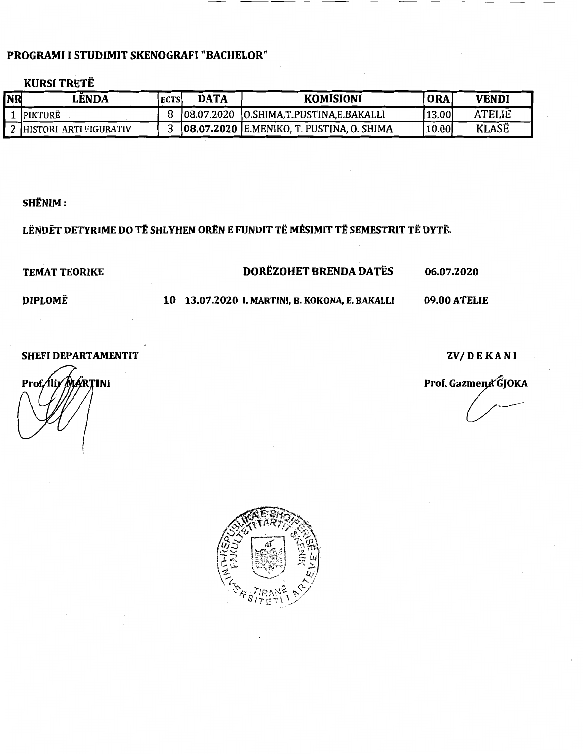## PROGRAMI I STUDIMIT SKENOGRAFI "BACHELOR"

#### **KURSI TRETË**

| NR | LÊNDA                     | <b>ECTS</b> | DATA | <b>KOMISIONI</b>                           | <b>ORA</b> | <b>VENDI</b> |
|----|---------------------------|-------------|------|--------------------------------------------|------------|--------------|
|    | <b>IPIKTURË</b>           |             |      | 08.07.2020 [O.SHIMA,T.PUSTINA,E.BAKALLI    | 13.00      | ATELIE       |
|    | 2 HIISTORI ARTI FIGURATIV |             |      | [08.07.2020 E.MENIKO, T. PUSTINA, O. SHIMA | 10.00      | <b>KLASË</b> |

#### SHENIM:

## LËNDËT DETYRIME DO TË SHLYHEN ORËN E FUNDIT TË MËSIMIT TË SEMESTRIT TË DYTË.

## TEMAT TEORIKE DOREZOHET BRENDA DATES 06.07.2020

--<del>--</del>-------- -<del>----</del>- - - - ------- - - ------

## DIPLOMË 10 13.07.2020 I. MARTINI, B. KOKONA, E. BAKALLI 09.00 ATELIE

SHEFI DEPARTAMENTIT ZV/DEKANI

Prof./lir/MARTINI

Prof. Gazmend GJOKA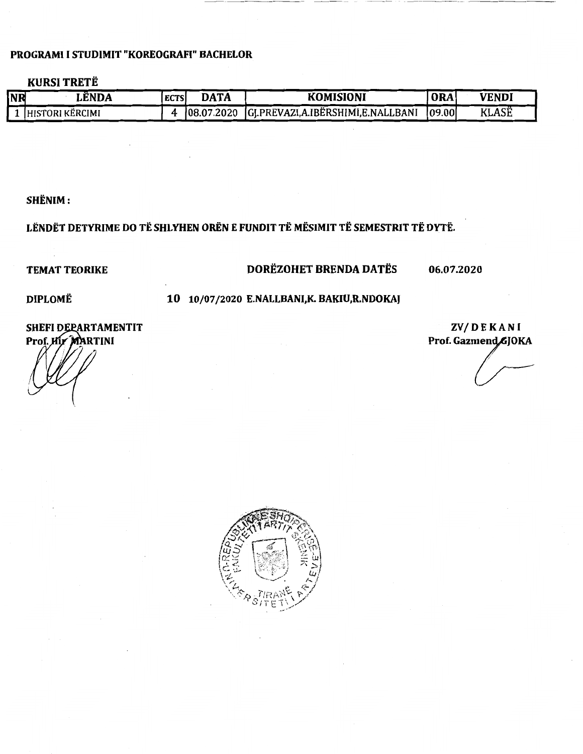#### PROGRAMI I STUDIMIT "KOREOGRAFI" BACHELOR

## **KURSI TRETË**

| <b>NR</b> | LËNDA           | <b>ECTS</b> | <b>DATA</b> | <b>KOMISIONI</b>                               | 'ORA.   | <b>VENDI</b> |
|-----------|-----------------|-------------|-------------|------------------------------------------------|---------|--------------|
|           | HISTORI KËRCIMI |             |             | 08.07.2020 [GJ.PREVAZI,A.IBËRSHIMI,E.NALLBANI] | 109.001 | <b>KLASË</b> |

### SHENIM:

# LËNDËT DETYRIME DO TË SHLYHEN ORËN E FUNDIT TË MËSIMIT TË SEMESTRIT TË DYTË.

## TEMAT TEORIKE DORËZOHET BRENDA DATËS 06.07.2020

#### DIPLOMË 10 10/07/2020 E.NALLBANI,K. BAKIU,R.NDOKAJ

#### SHEFI DEPARTAMENTIT Prof. Hir MARTINI

ZV/DEKANI Prof. Gazmend GJOKA